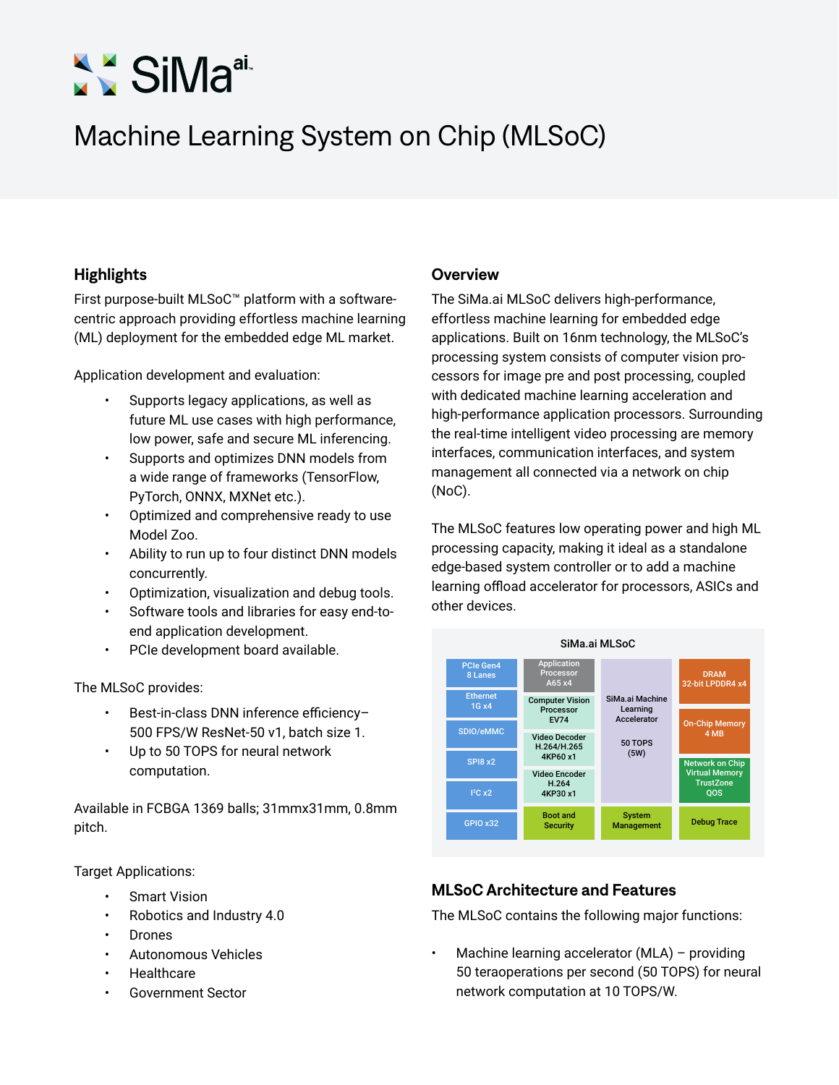# SiMa<sup>ai.</sup>

## Machine Learning System on Chip (MLSoC)

### **Highlights Overview**

First purpose-built MLSoC™ platform with a softwarecentric approach providing effortless machine learning (ML) deployment for the embedded edge ML market.

Application development and evaluation:

- Supports legacy applications, as well as future ML use cases with high performance, low power, safe and secure ML inferencing.
- Supports and optimizes DNN models from a wide range of frameworks (TensorFlow, PyTorch, ONNX, MXNet etc.).
- Optimized and comprehensive ready to use Model Zoo.
- Ability to run up to four distinct DNN models concurrently.
- Optimization, visualization and debug tools.
- Software tools and libraries for easy end-toend application development.
- PCIe development board available.

The MLSoC provides:

- Best-in-class DNN inference efficiency– 500 FPS/W ResNet-50 v1, batch size 1.
- Up to 50 TOPS for neural network computation.

Available in FCBGA 1369 balls; 31mmx31mm, 0.8mm pitch.

### Target Applications:

- **Smart Vision**
- Robotics and Industry 4.0
- Drones
- Autonomous Vehicles
- **Healthcare**
- Government Sector

The SiMa.ai MLSoC delivers high-performance, effortless machine learning for embedded edge applications. Built on 16nm technology, the MLSoC's processing system consists of computer vision processors for image pre and post processing, coupled with dedicated machine learning acceleration and high-performance application processors. Surrounding the real-time intelligent video processing are memory interfaces, communication interfaces, and system management all connected via a network on chip (NoC).

The MLSoC features low operating power and high ML processing capacity, making it ideal as a standalone edge-based system controller or to add a machine learning offload accelerator for processors, ASICs and other devices.



### **MLSoC Architecture and Features**

The MLSoC contains the following major functions:

Machine learning accelerator  $(MLA)$  – providing 50 teraoperations per second (50 TOPS) for neural network computation at 10 TOPS/W.